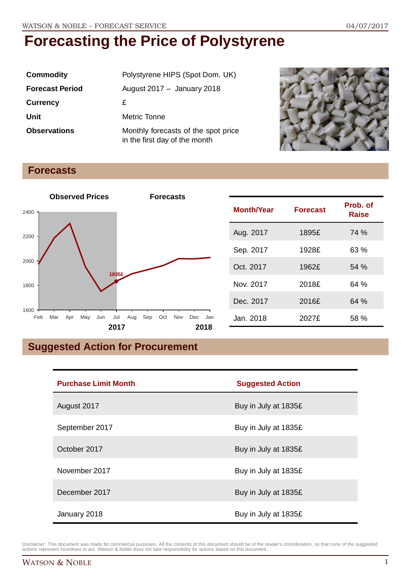| <b>Commodity</b>       | Polystyrene HIPS (Spot Dom. UK)                                      |  |
|------------------------|----------------------------------------------------------------------|--|
| <b>Forecast Period</b> | August 2017 $-$ January 2018                                         |  |
| <b>Currency</b>        | £                                                                    |  |
| Unit                   | Metric Tonne                                                         |  |
| <b>Observations</b>    | Monthly forecasts of the spot price<br>in the first day of the month |  |



## **Forecasts**



| <b>Month/Year</b> | <b>Forecast</b> | Prob. of<br><b>Raise</b> |
|-------------------|-----------------|--------------------------|
| Aug. 2017         | 1895£           | 74 %                     |
| Sep. 2017         | 1928£           | 63 %                     |
| Oct. 2017         | 1962£           | 54%                      |
| Nov. 2017         | 2018£           | 64 %                     |
| Dec. 2017         | 2016£           | 64%                      |
| Jan. 2018         | 2027£           | 58 %                     |

## **Suggested Action for Procurement**

| <b>Purchase Limit Month</b> | <b>Suggested Action</b> |
|-----------------------------|-------------------------|
| August 2017                 | Buy in July at 1835£    |
| September 2017              | Buy in July at 1835£    |
| October 2017                | Buy in July at 1835£    |
| November 2017               | Buy in July at 1835£    |
| December 2017               | Buy in July at 1835£    |
| January 2018                | Buy in July at 1835£    |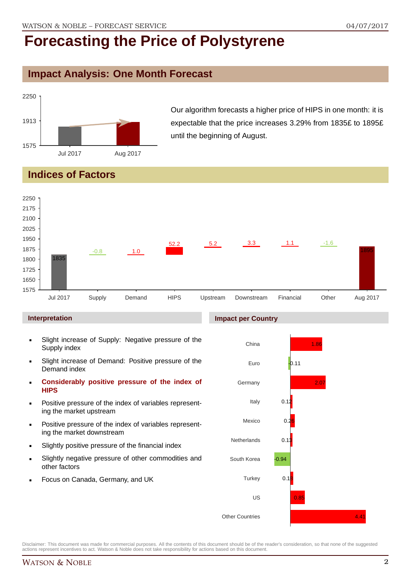### **Impact Analysis: One Month Forecast**



Our algorithm forecasts a higher price of HIPS in one month: it is expectable that the price increases 3.29% from 1835£ to 1895£ until the beginning of August.

## **Indices of Factors**



#### **Interpretation**

- Slight increase of Supply: Negative pressure of the Supply index
- Slight increase of Demand: Positive pressure of the Demand index
- **Considerably positive pressure of the index of HIPS**
- Positive pressure of the index of variables representing the market upstream
- Positive pressure of the index of variables representing the market downstream
- Slightly positive pressure of the financial index
- Slightly negative pressure of other commodities and other factors
- Focus on Canada, Germany, and UK

#### **Impact per Country**

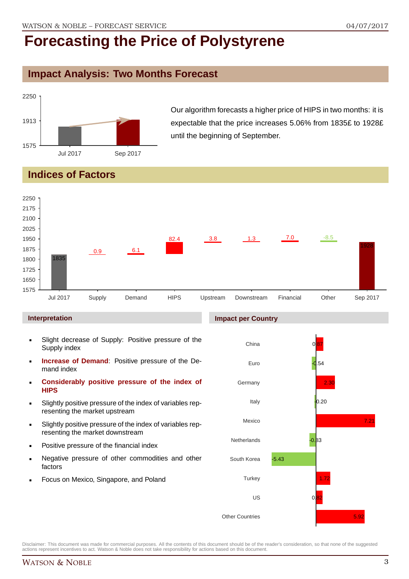### **Impact Analysis: Two Months Forecast**



Our algorithm forecasts a higher price of HIPS in two months: it is expectable that the price increases 5.06% from 1835£ to 1928£ until the beginning of September.

## **Indices of Factors**



#### **Interpretation**

- Slight decrease of Supply: Positive pressure of the Supply index
- **Increase of Demand**: Positive pressure of the Demand index
- **Considerably positive pressure of the index of HIPS**
- Slightly positive pressure of the index of variables representing the market upstream
- Slightly positive pressure of the index of variables representing the market downstream
- Positive pressure of the financial index
- Negative pressure of other commodities and other factors
- Focus on Mexico, Singapore, and Poland

## **Impact per Country**

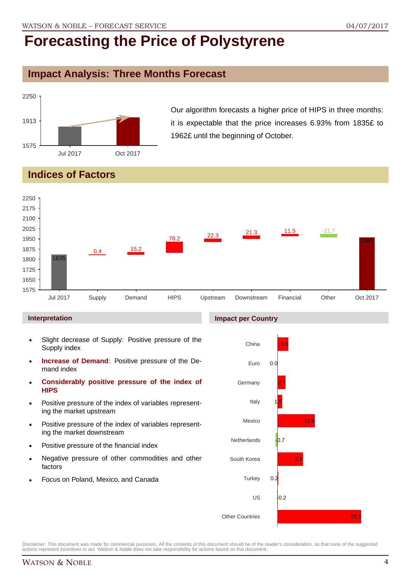### **Impact Analysis: Three Months Forecast**



Our algorithm forecasts a higher price of HIPS in three months: it is expectable that the price increases 6.93% from 1835£ to 1962£ until the beginning of October.

## **Indices of Factors**



#### **Interpretation**

- Slight decrease of Supply: Positive pressure of the Supply index
- **Increase of Demand**: Positive pressure of the Demand index
- **Considerably positive pressure of the index of HIPS**
- Positive pressure of the index of variables representing the market upstream
- Positive pressure of the index of variables representing the market downstream
- Positive pressure of the financial index
- Negative pressure of other commodities and other factors
- Focus on Poland, Mexico, and Canada

#### **Impact per Country**

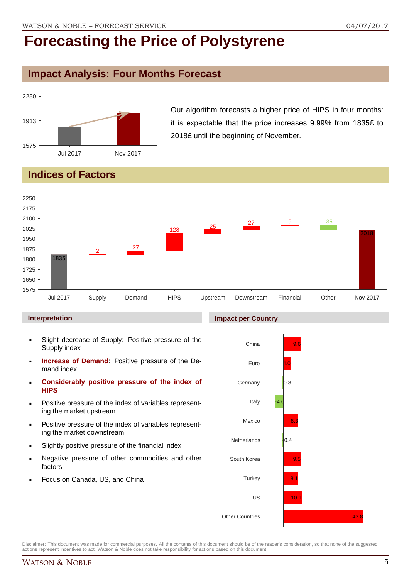## **Impact Analysis: Four Months Forecast**



Our algorithm forecasts a higher price of HIPS in four months: it is expectable that the price increases 9.99% from 1835£ to 2018£ until the beginning of November.

## **Indices of Factors**



#### **Interpretation**

- Slight decrease of Supply: Positive pressure of the Supply index
- **Increase of Demand**: Positive pressure of the Demand index
- **Considerably positive pressure of the index of HIPS**
- Positive pressure of the index of variables representing the market upstream
- Positive pressure of the index of variables representing the market downstream
- Slightly positive pressure of the financial index
- Negative pressure of other commodities and other factors
- Focus on Canada, US, and China

#### **Impact per Country**

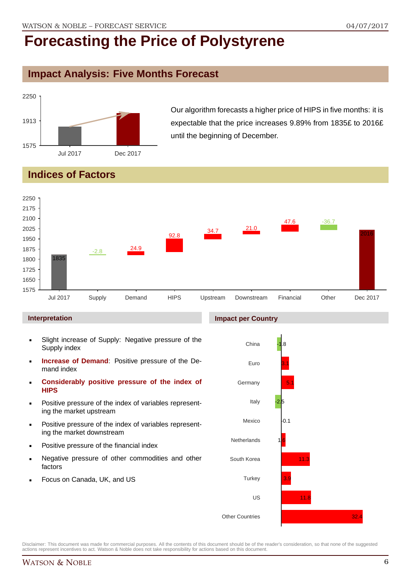## **Impact Analysis: Five Months Forecast**



Our algorithm forecasts a higher price of HIPS in five months: it is expectable that the price increases 9.89% from 1835£ to 2016£ until the beginning of December.

## **Indices of Factors**



#### **Interpretation**

- Slight increase of Supply: Negative pressure of the Supply index
- **Increase of Demand**: Positive pressure of the Demand index
- **Considerably positive pressure of the index of HIPS**
- Positive pressure of the index of variables representing the market upstream
- Positive pressure of the index of variables representing the market downstream
- Positive pressure of the financial index
- Negative pressure of other commodities and other factors
- Focus on Canada, UK, and US

#### **Impact per Country**

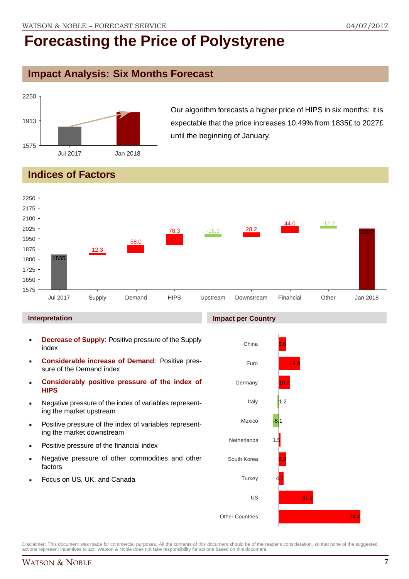## **Impact Analysis: Six Months Forecast**



Our algorithm forecasts a higher price of HIPS in six months: it is expectable that the price increases 10.49% from 1835£ to 2027£ until the beginning of January.

## **Indices of Factors**



#### **Interpretation**

- **Decrease of Supply**: Positive pressure of the Supply index
- **Considerable increase of Demand**: Positive pressure of the Demand index
- **Considerably positive pressure of the index of HIPS**
- Negative pressure of the index of variables representing the market upstream
- Positive pressure of the index of variables representing the market downstream
- Positive pressure of the financial index
- Negative pressure of other commodities and other factors
- Focus on US, UK, and Canada

#### **Impact per Country**

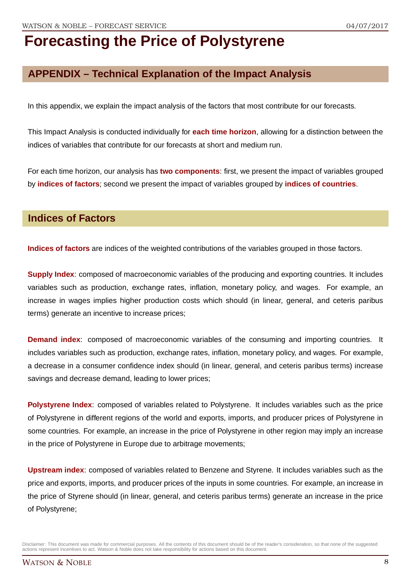## **APPENDIX – Technical Explanation of the Impact Analysis**

In this appendix, we explain the impact analysis of the factors that most contribute for our forecasts.

This Impact Analysis is conducted individually for **each time horizon**, allowing for a distinction between the indices of variables that contribute for our forecasts at short and medium run.

For each time horizon, our analysis has **two components**: first, we present the impact of variables grouped by **indices of factors**; second we present the impact of variables grouped by **indices of countries**.

### **Indices of Factors**

**Indices of factors** are indices of the weighted contributions of the variables grouped in those factors.

**Supply Index**: composed of macroeconomic variables of the producing and exporting countries. It includes variables such as production, exchange rates, inflation, monetary policy, and wages. For example, an increase in wages implies higher production costs which should (in linear, general, and ceteris paribus terms) generate an incentive to increase prices;

**Demand index**: composed of macroeconomic variables of the consuming and importing countries. It includes variables such as production, exchange rates, inflation, monetary policy, and wages. For example, a decrease in a consumer confidence index should (in linear, general, and ceteris paribus terms) increase savings and decrease demand, leading to lower prices;

**Polystyrene Index**: composed of variables related to Polystyrene. It includes variables such as the price of Polystyrene in different regions of the world and exports, imports, and producer prices of Polystyrene in some countries. For example, an increase in the price of Polystyrene in other region may imply an increase in the price of Polystyrene in Europe due to arbitrage movements;

**Upstream index**: composed of variables related to Benzene and Styrene. It includes variables such as the price and exports, imports, and producer prices of the inputs in some countries. For example, an increase in the price of Styrene should (in linear, general, and ceteris paribus terms) generate an increase in the price of Polystyrene;